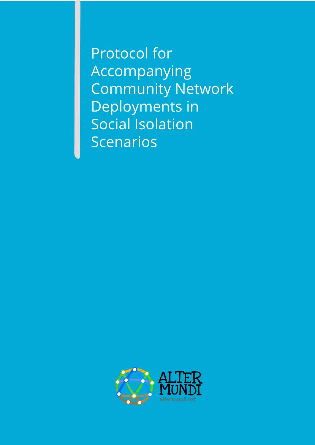**Protocol for** Accompanying **Community Network** Deployments in **Social Isolation Scenarios** 

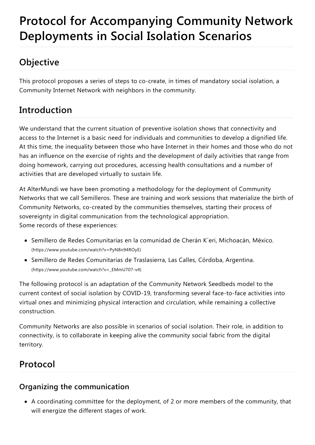# **Protocol for Accompanying Community Network Deployments in Social Isolation Scenarios**

# **Objective**

This protocol proposes a series of steps to co-create, in times of mandatory social isolation, a Community Internet Network with neighbors in the community.

# **Introduction**

We understand that the current situation of preventive isolation shows that connectivity and access to the Internet is a basic need for individuals and communities to develop a dignified life. At this time, the inequality between those who have Internet in their homes and those who do not has an influence on the exercise of rights and the development of daily activities that range from doing homework, carrying out procedures, accessing health consultations and a number of activities that are developed virtually to sustain life.

At AlterMundi we have been promoting a methodology for the deployment of Community Networks that we call Semilleros. These are training and work sessions that materialize the birth of Community Networks, co-created by the communities themselves, starting their process of sovereignty in digital communication from the technological appropriation. Some records of these experiences:

- Semillero de Redes Comunitarias en la comunidad de Cherán K´eri, Michoacán, México. [\(https://www.youtube.com/watch?v=PyN8n94ROyE\)](https://www.youtube.com/watch?v=PyN8n94ROyE)
- Semillero de Redes Comunitarias de Traslasierra, Las Calles, Córdoba, Argentina. [\(https://www.youtube.com/watch?v=\\_EMmU707-v4\)](https://www.youtube.com/watch?v=_EMmU707-v4)

The following protocol is an adaptation of the Community Network Seedbeds model to the current context of social isolation by COVID-19, transforming several face-to-face activities into virtual ones and minimizing physical interaction and circulation, while remaining a collective construction.

Community Networks are also possible in scenarios of social isolation. Their role, in addition to connectivity, is to collaborate in keeping alive the community social fabric from the digital territory.

# **Protocol**

## **Organizing the communication**

A coordinating committee for the deployment, of 2 or more members of the community, that will energize the different stages of work.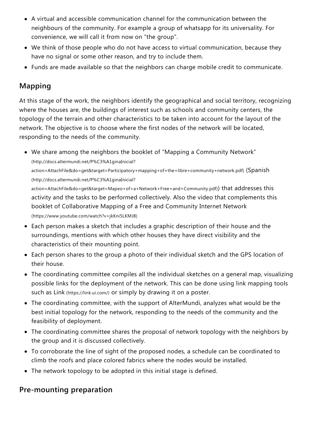- A virtual and accessible communication channel for the communication between the neighbours of the community. For example a group of whatsapp for its universality. For convenience, we will call it from now on "the group".
- We think of those people who do not have access to virtual communication, because they have no signal or some other reason, and try to include them.
- Funds are made available so that the neighbors can charge mobile credit to communicate.

## **Mapping**

At this stage of the work, the neighbors identify the geographical and social territory, recognizing where the houses are, the buildings of interest such as schools and community centers, the topology of the terrain and other characteristics to be taken into account for the layout of the network. The objective is to choose where the first nodes of the network will be located, responding to the needs of the community.

- We share among the neighbors the booklet of "Mapping a Community Network" (http://docs.altermundi.net/P%C3%A1ginaInicial? [action=AttachFile&do=get&target=Participatory+mapping+of+the+libre+community+network.pdf\)](http://docs.altermundi.net/P%C3%A1ginaInicial?action=AttachFile&do=get&target=Participatory+mapping+of+the+libre+community+network.pdf) (Spanish (http://docs.altermundi.net/P%C3%A1ginaInicial? action=AttachFile&do=get&target=Mapeo+of+a+Network+Free+and+Community.pdf)) that addresses this activity and the tasks to be performed collectively. Also the video that complements this booklet of Collaborative Mapping of a Free and Community Internet Network [\(https://www.youtube.com/watch?v=jkKni5LKMJ8\)](https://www.youtube.com/watch?v=jkKni5LKMJ8)
- Each person makes a sketch that includes a graphic description of their house and the surroundings, mentions with which other houses they have direct visibility and the characteristics of their mounting point.
- Each person shares to the group a photo of their individual sketch and the GPS location of their house.
- The coordinating committee compiles all the individual sketches on a general map, visualizing possible links for the deployment of the network. This can be done using link mapping tools such as Link [\(https://link.ui.com/\)](https://link.ui.com/) or simply by drawing it on a poster.
- The coordinating committee, with the support of AlterMundi, analyzes what would be the best initial topology for the network, responding to the needs of the community and the feasibility of deployment.
- The coordinating committee shares the proposal of network topology with the neighbors by the group and it is discussed collectively.
- To corroborate the line of sight of the proposed nodes, a schedule can be coordinated to climb the roofs and place colored fabrics where the nodes would be installed.
- The network topology to be adopted in this initial stage is defined.

## **Pre-mounting preparation**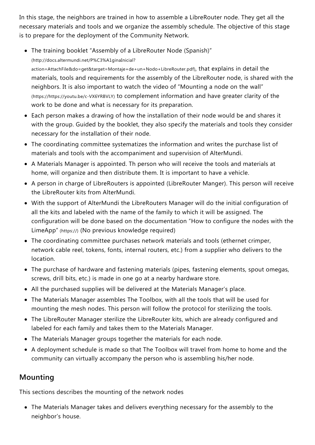In this stage, the neighbors are trained in how to assemble a LibreRouter node. They get all the necessary materials and tools and we organize the assembly schedule. The objective of this stage is to prepare for the deployment of the Community Network.

The training booklet "Assembly of a LibreRouter Node (Spanish)"

(http://docs.altermundi.net/P%C3%A1ginaInicial?

[action=AttachFile&do=get&target=Montaje+de+un+Nodo+LibreRouter.pdf\)](http://docs.altermundi.net/P%C3%A1ginaInicial?action=AttachFile&do=get&target=Montaje+de+un+Nodo+LibreRouter.pdf), that explains in detail the materials, tools and requirements for the assembly of the LibreRouter node, is shared with the neighbors. It is also important to watch the video of "Mounting a node on the wall" [\(https://https://youtu.be/c-VX6YRBVLY\)](https://https//youtu.be/c-VX6YRBVLY) to complement information and have greater clarity of the work to be done and what is necessary for its preparation.

- Each person makes a drawing of how the installation of their node would be and shares it with the group. Guided by the booklet, they also specify the materials and tools they consider necessary for the installation of their node.
- The coordinating committee systematizes the information and writes the purchase list of materials and tools with the accompaniment and supervision of AlterMundi.
- A Materials Manager is appointed. Th person who will receive the tools and materials at home, will organize and then distribute them. It is important to have a vehicle.
- A person in charge of LibreRouters is appointed (LibreRouter Manger). This person will receive the LibreRouter kits from AlterMundi.
- With the support of AlterMundi the LibreRouters Manager will do the initial configuration of all the kits and labeled with the name of the family to which it will be assigned. The configuration will be done based on the documentation "How to configure the nodes with the LimeApp" (https://) (No previous knowledge required)
- The coordinating committee purchases network materials and tools (ethernet crimper, network cable reel, tokens, fonts, internal routers, etc.) from a supplier who delivers to the location.
- The purchase of hardware and fastening materials (pipes, fastening elements, spout omegas, screws, drill bits, etc.) is made in one go at a nearby hardware store.
- All the purchased supplies will be delivered at the Materials Manager's place.
- The Materials Manager assembles The Toolbox, with all the tools that will be used for mounting the mesh nodes. This person will follow the protocol for sterilizing the tools.
- The LibreRouter Manager sterilize the LibreRouter kits, which are already configured and labeled for each family and takes them to the Materials Manager.
- The Materials Manager groups together the materials for each node.
- A deployment schedule is made so that The Toolbox will travel from home to home and the community can virtually accompany the person who is assembling his/her node.

# **Mounting**

This sections describes the mounting of the network nodes

The Materials Manager takes and delivers everything necessary for the assembly to the neighbor's house.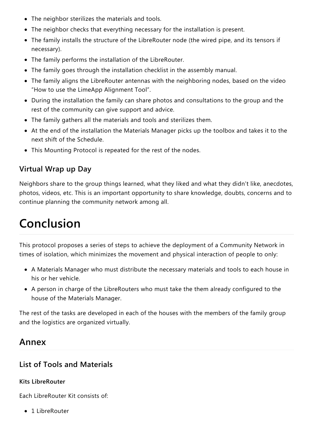- The neighbor sterilizes the materials and tools.
- The neighbor checks that everything necessary for the installation is present.
- The family installs the structure of the LibreRouter node (the wired pipe, and its tensors if necessary).
- The family performs the installation of the LibreRouter.
- The family goes through the installation checklist in the assembly manual.
- The family aligns the LibreRouter antennas with the neighboring nodes, based on the video "How to use the LimeApp Alignment Tool".
- During the installation the family can share photos and consultations to the group and the rest of the community can give support and advice.
- The family gathers all the materials and tools and sterilizes them.
- At the end of the installation the Materials Manager picks up the toolbox and takes it to the next shift of the Schedule.
- This Mounting Protocol is repeated for the rest of the nodes.

### **Virtual Wrap up Day**

Neighbors share to the group things learned, what they liked and what they didn't like, anecdotes, photos, videos, etc. This is an important opportunity to share knowledge, doubts, concerns and to continue planning the community network among all.

# **Conclusion**

This protocol proposes a series of steps to achieve the deployment of a Community Network in times of isolation, which minimizes the movement and physical interaction of people to only:

- A Materials Manager who must distribute the necessary materials and tools to each house in his or her vehicle.
- A person in charge of the LibreRouters who must take the them already configured to the house of the Materials Manager.

The rest of the tasks are developed in each of the houses with the members of the family group and the logistics are organized virtually.

# **Annex**

### **List of Tools and Materials**

### **Kits LibreRouter**

Each LibreRouter Kit consists of:

• 1 LibreRouter